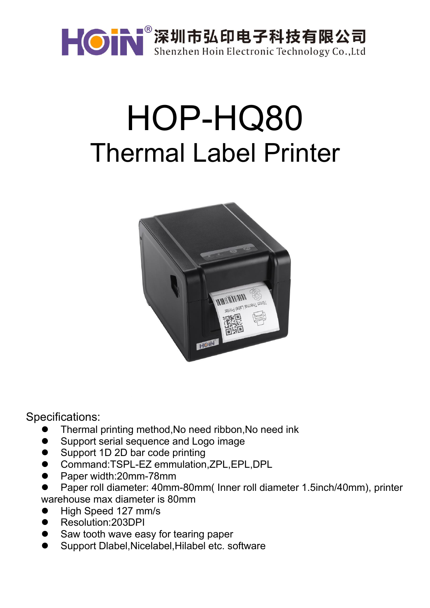

## HOP-HQ80 Thermal Label Printer



Specifications:

- Thermal printing method,No need ribbon,No need ink
- Support serial sequence and Logo image
- Support 1D 2D bar code printing
- Command:TSPL-EZ emmulation,ZPL,EPL,DPL
- Paper width:20mm-78mm
- Paper roll diameter: 40mm-80mm( Inner roll diameter 1.5inch/40mm), printer warehouse max diameter is 80mm
- High Speed 127 mm/s
- Resolution:203DPI
- Saw tooth wave easy for tearing paper
- Support Dlabel,Nicelabel,Hilabel etc. software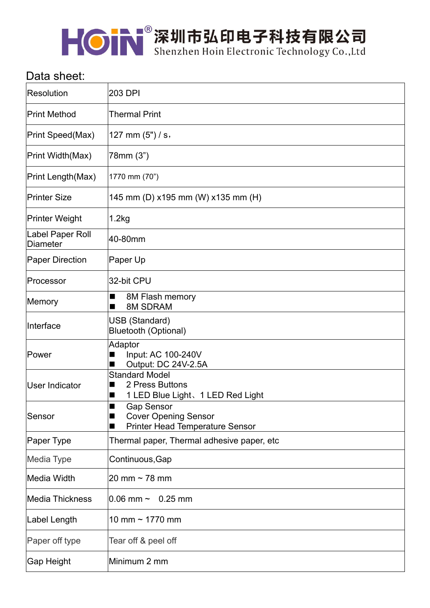

## Data sheet:

| Resolution                          | 203 DPI                                                                                         |
|-------------------------------------|-------------------------------------------------------------------------------------------------|
| Print Method                        | <b>Thermal Print</b>                                                                            |
| Print Speed(Max)                    | 127 mm $(5")/s$ ,                                                                               |
| Print Width(Max)                    | 78mm (3")                                                                                       |
| Print Length(Max)                   | 1770 mm (70")                                                                                   |
| <b>Printer Size</b>                 | 145 mm (D) x195 mm (W) x135 mm (H)                                                              |
| Printer Weight                      | 1.2kg                                                                                           |
| Label Paper Roll<br><b>Diameter</b> | 40-80mm                                                                                         |
| <b>Paper Direction</b>              | Paper Up                                                                                        |
| Processor                           | 32-bit CPU                                                                                      |
| Memory                              | 8M Flash memory<br><b>8M SDRAM</b><br>■                                                         |
| Interface                           | <b>USB</b> (Standard)<br><b>Bluetooth (Optional)</b>                                            |
| Power                               | Adaptor<br>Input: AC 100-240V<br>■<br>Output: DC 24V-2.5A                                       |
| User Indicator                      | <b>Standard Model</b><br>2 Press Buttons<br>1 LED Blue Light、1 LED Red Light<br>■               |
| Sensor                              | <b>Gap Sensor</b><br><b>Cover Opening Sensor</b><br>■<br><b>Printer Head Temperature Sensor</b> |
| Paper Type                          | Thermal paper, Thermal adhesive paper, etc                                                      |
| Media Type                          | Continuous, Gap                                                                                 |
| Media Width                         | 20 mm $\sim$ 78 mm                                                                              |
| Media Thickness                     | 0.06 mm $\sim$<br>$0.25$ mm                                                                     |
| Label Length                        | 10 mm ~ 1770 mm                                                                                 |
| Paper off type                      | Tear off & peel off                                                                             |
| Gap Height                          | Minimum 2 mm                                                                                    |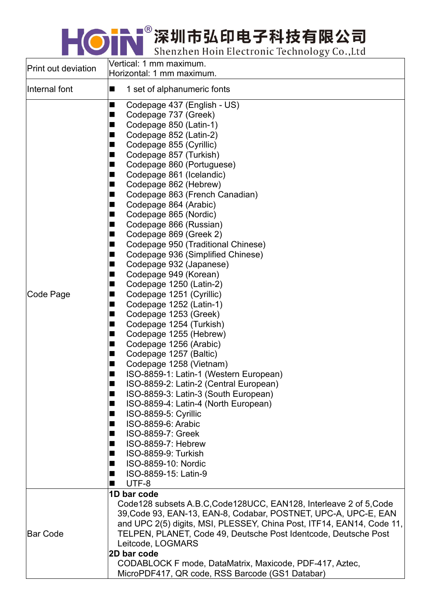KON 深圳市弘印电子科技有限公司

| Print out deviation | Vertical: 1 mm maximum.<br>Horizontal: 1 mm maximum.                                                                                                                                                                                                                                                                                                                                                                                                                                                                                                                                                                                                                                                                                                                                                                                                                                                                                                                                                                                                                                                                                                                                                                           |
|---------------------|--------------------------------------------------------------------------------------------------------------------------------------------------------------------------------------------------------------------------------------------------------------------------------------------------------------------------------------------------------------------------------------------------------------------------------------------------------------------------------------------------------------------------------------------------------------------------------------------------------------------------------------------------------------------------------------------------------------------------------------------------------------------------------------------------------------------------------------------------------------------------------------------------------------------------------------------------------------------------------------------------------------------------------------------------------------------------------------------------------------------------------------------------------------------------------------------------------------------------------|
| Internal font       | 1 set of alphanumeric fonts<br>■                                                                                                                                                                                                                                                                                                                                                                                                                                                                                                                                                                                                                                                                                                                                                                                                                                                                                                                                                                                                                                                                                                                                                                                               |
| Code Page           | Codepage 437 (English - US)<br>■<br>Codepage 737 (Greek)<br>■<br>Codepage 850 (Latin-1)<br>■<br>Codepage 852 (Latin-2)<br>▅<br>Codepage 855 (Cyrillic)<br>■<br>Codepage 857 (Turkish)<br>■<br>Codepage 860 (Portuguese)<br>■<br>Codepage 861 (Icelandic)<br>■<br>Codepage 862 (Hebrew)<br>■<br>Codepage 863 (French Canadian)<br>■<br>Codepage 864 (Arabic)<br>■<br>Codepage 865 (Nordic)<br>■<br>Codepage 866 (Russian)<br>■<br>Codepage 869 (Greek 2)<br>■<br>Codepage 950 (Traditional Chinese)<br>■<br>Codepage 936 (Simplified Chinese)<br>■<br>Codepage 932 (Japanese)<br>■<br>Codepage 949 (Korean)<br>■<br>Codepage 1250 (Latin-2)<br>■<br>Codepage 1251 (Cyrillic)<br>■<br>Codepage 1252 (Latin-1)<br>■<br>Codepage 1253 (Greek)<br>■<br>Codepage 1254 (Turkish)<br>■<br>Codepage 1255 (Hebrew)<br>■<br>Codepage 1256 (Arabic)<br>■<br>Codepage 1257 (Baltic)<br>■<br>Codepage 1258 (Vietnam)<br>■<br>ISO-8859-1: Latin-1 (Western European)<br>■<br>ISO-8859-2: Latin-2 (Central European)<br>ISO-8859-3: Latin-3 (South European)<br>■<br>ISO-8859-4: Latin-4 (North European)<br>■<br>ISO-8859-5: Cyrillic<br>■<br>ISO-8859-6: Arabic<br>m.<br>ISO-8859-7: Greek<br>■<br>ISO-8859-7: Hebrew<br>ISO-8859-9: Turkish |
|                     | ISO-8859-10: Nordic<br>ISO-8859-15: Latin-9<br>UTF-8                                                                                                                                                                                                                                                                                                                                                                                                                                                                                                                                                                                                                                                                                                                                                                                                                                                                                                                                                                                                                                                                                                                                                                           |
| Bar Code            | 1D bar code<br>Code 128 subsets A.B.C.Code 128UCC, EAN 128, Interleave 2 of 5, Code<br>39, Code 93, EAN-13, EAN-8, Codabar, POSTNET, UPC-A, UPC-E, EAN<br>and UPC 2(5) digits, MSI, PLESSEY, China Post, ITF14, EAN14, Code 11,<br>TELPEN, PLANET, Code 49, Deutsche Post Identcode, Deutsche Post<br>Leitcode, LOGMARS<br>2D bar code<br>CODABLOCK F mode, DataMatrix, Maxicode, PDF-417, Aztec,<br>MicroPDF417, QR code, RSS Barcode (GS1 Databar)                                                                                                                                                                                                                                                                                                                                                                                                                                                                                                                                                                                                                                                                                                                                                                           |